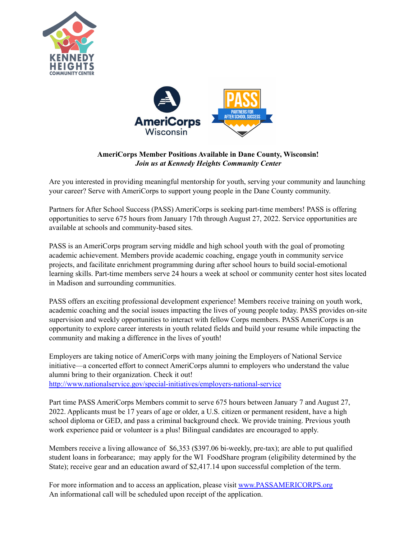



## **AmeriCorps Member Positions Available in Dane County, Wisconsin!** *Join us at Kennedy Heights Community Center*

Are you interested in providing meaningful mentorship for youth, serving your community and launching your career? Serve with AmeriCorps to support young people in the Dane County community.

Partners for After School Success (PASS) AmeriCorps is seeking part-time members! PASS is offering opportunities to serve 675 hours from January 17th through August 27, 2022. Service opportunities are available at schools and community-based sites.

PASS is an AmeriCorps program serving middle and high school youth with the goal of promoting academic achievement. Members provide academic coaching, engage youth in community service projects, and facilitate enrichment programming during after school hours to build social-emotional learning skills. Part-time members serve 24 hours a week at school or community center host sites located in Madison and surrounding communities.

PASS offers an exciting professional development experience! Members receive training on youth work, academic coaching and the social issues impacting the lives of young people today. PASS provides on-site supervision and weekly opportunities to interact with fellow Corps members. PASS AmeriCorps is an opportunity to explore career interests in youth related fields and build your resume while impacting the community and making a difference in the lives of youth!

Employers are taking notice of AmeriCorps with many joining the Employers of National Service initiative—a concerted effort to connect AmeriCorps alumni to employers who understand the value alumni bring to their organization. Check it out! <http://www.nationalservice.gov/special-initiatives/employers-national-service>

Part time PASS AmeriCorps Members commit to serve 675 hours between January 7 and August 27, 2022. Applicants must be 17 years of age or older, a U.S. citizen or permanent resident, have a high school diploma or GED, and pass a criminal background check. We provide training. Previous youth work experience paid or volunteer is a plus! Bilingual candidates are encouraged to apply.

Members receive a living allowance of \$6,353 (\$397.06 bi-weekly, pre-tax); are able to put qualified student loans in forbearance; may apply for the WI FoodShare program (eligibility determined by the State); receive gear and an education award of \$2,417.14 upon successful completion of the term.

For more information and to access an application, please visit [www.PASSAMERICORPS.org](http://www.passamericorps.org) An informational call will be scheduled upon receipt of the application.